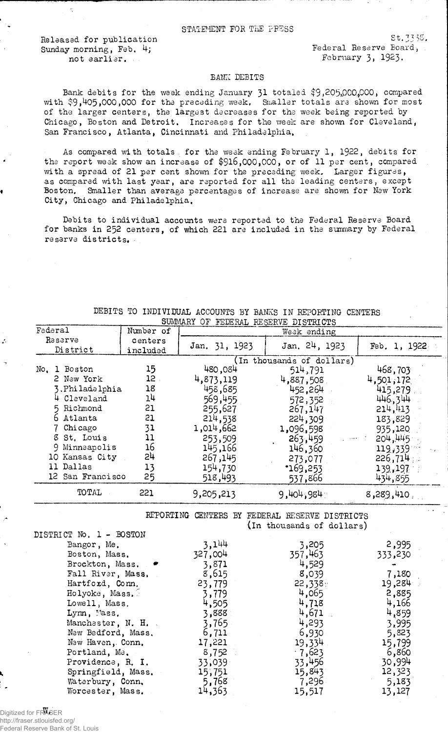## STATEMENT FOR THE PRESS

Released for publication  $5t,3335$ .<br>  $5t,3335$ <br>  $5t,3335$ .<br>  $5t,3335$ . Sunday morning, Feb.  $4$ ; not earlier. February 3, 1923.

Ą

ł

 $St.7335.$ 

## BAKE DEBITS

Bank debits for the week ending January 31 totaled \$9,205,000,000, compared with \$9,405,000,000 for the preceding week, Smaller totals are shown for most of the larger centers, the largest decreases for the week being reported by Chicago, Boston and Detroit. Increases for the week are shown for Cleveland, San Francisco, Atlanta, Cincinnati and Philadelphia,

As compared with totals, for the week ending February 1, 1922, debits for the report week show an increase of \$916,000,000, or of 11 per cent, compared with a spread of 21 per cent shown for the preceding week. Larger figures, as compared with last year, are reported for all the leading centers, except Boston, Smaller than average percentages of increase are shown for New York City, Chicago and Philadelphia,

Debits to individual accounts were reported to the Federal Reserve Board for banks in 252 centers, of which 221 are included in the summary by Federal reserve districts.

| SUMMARY OF FEDERAL RESERVE DISTRICTS                                                                                                                                |           |                                                                          |                                                                           |                                                                          |  |
|---------------------------------------------------------------------------------------------------------------------------------------------------------------------|-----------|--------------------------------------------------------------------------|---------------------------------------------------------------------------|--------------------------------------------------------------------------|--|
| Federal                                                                                                                                                             | Number of |                                                                          | Week ending                                                               |                                                                          |  |
| Reserve                                                                                                                                                             | centers   | Jan. 31, 1923                                                            | Jan. 24, 1923                                                             | Feb. 1, 1922                                                             |  |
| District                                                                                                                                                            | included  |                                                                          |                                                                           |                                                                          |  |
|                                                                                                                                                                     |           |                                                                          | (In thousands of dollars)                                                 |                                                                          |  |
| No. 1 Boston                                                                                                                                                        | 15        | 480,084                                                                  | 514,791                                                                   | 468,703                                                                  |  |
| 2 New York                                                                                                                                                          | $12$ .    | 4,873,119                                                                | 4,887,508                                                                 | 4,501,172                                                                |  |
| 3. Philadelphia                                                                                                                                                     | 18        | 458,685                                                                  | 452,264                                                                   | 415,279                                                                  |  |
| 4 Cleveland                                                                                                                                                         | 14        | 569,455                                                                  | 572,352                                                                   | 446,344                                                                  |  |
| 5 Richmond                                                                                                                                                          | 21        | 255,627                                                                  | 267,147                                                                   | 214,413                                                                  |  |
| 6 Atlanta                                                                                                                                                           | 21        | 214,538                                                                  | 224,309                                                                   | 183,829                                                                  |  |
| 7 Chicago                                                                                                                                                           | 31        | 1,014,662                                                                | 1,096,598                                                                 | 935,120                                                                  |  |
| 3 St. Louis                                                                                                                                                         | 11        | 253,509                                                                  | 263,459                                                                   | 204,445                                                                  |  |
| 9 Minneapolis                                                                                                                                                       | 16        | 145,166                                                                  | 146,360                                                                   | 119,339                                                                  |  |
| 10 Kansas City                                                                                                                                                      | 5#        | 267,145                                                                  | 273,077                                                                   | 226,714                                                                  |  |
| 11 Dallas                                                                                                                                                           | 13        | 154,730                                                                  | •169,253                                                                  | 139, 197                                                                 |  |
| 12 San Francisco                                                                                                                                                    | 25        | 518,493                                                                  | 537,866                                                                   | 434,855                                                                  |  |
| TOTAL                                                                                                                                                               | 221       | 9,205,213                                                                | 9,404,984                                                                 | $8,289,410$ .                                                            |  |
| DISTRICT No. 1 - BOSTON<br>Bangor, Me.<br>Boston, Mass.<br>Brockton, Mass.<br>Fall River, Mass.<br>Hartford, Conn.<br>Holyoke, Mass.<br>Lowell, Mass.<br>Lym, Mass. |           | 3,144<br>327,004<br>3,871<br>8,615<br>23,779<br>3,779<br>4,505<br>3,888  | 3,205<br>357,463<br>4,529<br>8,039<br>22,338.<br>4,065<br>4,718<br>4,671  | 2,995<br>333,230<br>7,180<br>19,284<br>2,885<br>4,166<br>4,859           |  |
| Manchester, N. H.<br>New Bedford, Mass.<br>New Haven, Conn.<br>Portland, Me.<br>Providence, R. I.<br>Springfield, Mass.<br>Waterbury, Conn.<br>Worcester, Mass.     |           | 3,765<br>6,711<br>17,221<br>8,752<br>33,039<br>15,751<br>5,768<br>14,363 | 4,293<br>6,930<br>19,334<br>.7,623<br>33,456<br>15,843<br>7,296<br>15,517 | 3,995<br>5,823<br>15,799<br>6,860<br>30,994<br>12,323<br>5,183<br>13,127 |  |

DEBITS TO INDIVIDUAL ACCOUNTS BY BANKS IN REPORTING CENTERS

Digitized for FRASER http://fraser.stlouisfed.org/ Federal Reserve Bank of St. Louis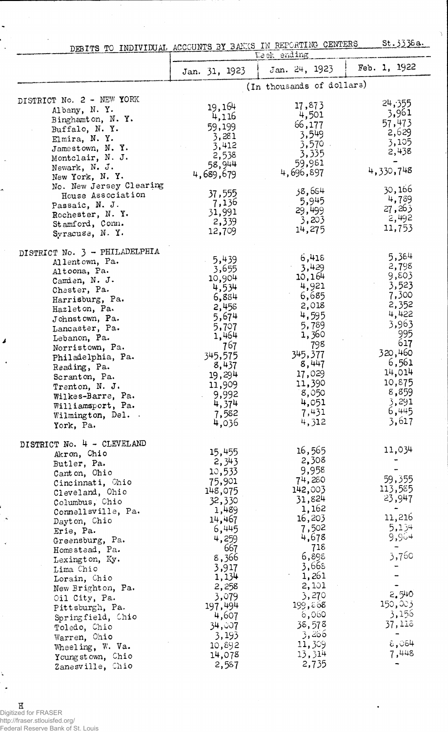|                                              | St. 3338a.<br>DEBITS TO INDIVIDUAL ACCOUNTS BY BANKS IN REPORTING CENTERS<br>Week ending |                              |                 |  |  |
|----------------------------------------------|------------------------------------------------------------------------------------------|------------------------------|-----------------|--|--|
|                                              | Jan. 31, 1923                                                                            | Jan. 24, 1923                | Feb. 1, 1922    |  |  |
|                                              |                                                                                          | (In thousands of dollars)    |                 |  |  |
| DISTRICT No. 2 - NEW YORK                    |                                                                                          |                              |                 |  |  |
| Albany, N.Y.                                 | 19,164                                                                                   | 17,873                       | 24,355          |  |  |
| Binghamton, N.Y.                             | 4,116                                                                                    | 4,501                        | 3,961<br>57,473 |  |  |
| Buffalo, N.Y.                                | 59,199                                                                                   | 66,177                       | 2,629           |  |  |
| Elmira, N.Y.                                 | 3,281                                                                                    | 3,549                        | 3,105           |  |  |
| Jamestown, N.Y.                              | 3,412                                                                                    | $3,570$ .<br>3,335           | 2,438           |  |  |
| Montclair, N. J.                             | 2,538<br>58,944                                                                          | 59,981                       |                 |  |  |
| Newark, N. J.                                | 4,689,679                                                                                | 4,696,897                    | 4,330,748       |  |  |
| New York, N.Y.                               |                                                                                          |                              |                 |  |  |
| No. New Jersey Clearing<br>House Association | 37,555                                                                                   | 38,654                       | 30,166          |  |  |
| Passaic, N. J.                               | 7,136                                                                                    | 5,945                        | 4,789           |  |  |
| Rochester, N.Y.                              | 31,991                                                                                   | 29,499                       | 27,263          |  |  |
| Stamford, Conn.                              | 2,339                                                                                    | 3,203                        | 2,492           |  |  |
| Syracuse, N.Y.                               | 12,709                                                                                   | 14,275                       | 11,753          |  |  |
| DISTRICT No. 3 - PHILADELPHIA                |                                                                                          |                              |                 |  |  |
| Allentown, Pa.                               | 5,439                                                                                    | 6,418<br>3,429               | 5,384<br>2,798  |  |  |
| Altoona, Pa.                                 | 3,655                                                                                    | 10,164                       | 9,803           |  |  |
| Camden, N. J.                                | 10,904<br>4,534                                                                          | 4,921                        | 3,523           |  |  |
| Chester, Pa.                                 | 6,884                                                                                    | 6,685                        | 7,300           |  |  |
| Harrisburg, Pa.<br>Hazleton, Pa.             | 2,458                                                                                    | 2,018                        | 2,352           |  |  |
| Johnstown, Pa.                               | 5,674                                                                                    | 4,595                        | 4,422           |  |  |
| Lancaster, Pa.                               | 5,707                                                                                    | 5,789                        | 3,963           |  |  |
| Lebanon, Pa.                                 | 1,464                                                                                    | 1,360                        | 995             |  |  |
| Norristown, Pa.                              | 767                                                                                      | 798                          | 617             |  |  |
| Philadelphia, Pa.                            | 345,575                                                                                  | 345,377                      | 320,460         |  |  |
| Reading, Pa.                                 | 8,437                                                                                    | 8,447                        | 6,561<br>14,014 |  |  |
| Scranton, Pa.                                | 19,294                                                                                   | 17,029<br>11,390             | 10,875          |  |  |
| Trenton, N. J.                               | 11,909                                                                                   | 8,050                        | 8,859           |  |  |
| Wilkes-Barre, Pa.                            | 9,992<br>4,374                                                                           | 4,051                        | 3,291           |  |  |
| Williamsport, Pa.                            | 7,582                                                                                    | 7,431                        | 6,445           |  |  |
| Wilmington, Del. .<br>York, Pa.              | 4,036                                                                                    | 4,312                        | 3,617           |  |  |
|                                              |                                                                                          |                              |                 |  |  |
| DISTRICT No. 4 - CLEVELAND                   | 15,455                                                                                   | 16,565                       | 11,034          |  |  |
| Akron, Chio<br>Butler, Pa.                   | 2,343                                                                                    | 2,308                        |                 |  |  |
| Canton, Ohio                                 | 10,533                                                                                   | 9,958                        |                 |  |  |
| Cincinnati, Chio                             | 75,901                                                                                   | 74,280                       | 59,355          |  |  |
| Cleveland, Ohio                              | 148,075                                                                                  | 142,003                      | 113,585         |  |  |
| Columbus, Chio                               | 32,330                                                                                   | 31,824                       | 23,947          |  |  |
| Connellsville, Pa.                           | 1,489                                                                                    | 1,162                        | 11,216          |  |  |
| Dayton, Chio                                 | 14,467                                                                                   | 16,203                       | 5,134           |  |  |
| Erie, Pa.                                    | 6,445                                                                                    | 7,502<br>4,678               | 9,964           |  |  |
| Greensburg, Pa.                              | 4,259<br>667                                                                             | 718                          |                 |  |  |
| Homestead, Pa.<br>Lexington, Ky.             | 8,366                                                                                    | 6,898                        | 3,760           |  |  |
| Lima Chio                                    | 3,917                                                                                    | 3,668                        |                 |  |  |
| Lorain, Chio                                 | 1,134                                                                                    | $\sigma_{\rm{max}}$<br>1,261 |                 |  |  |
| New Brighton, Pa.                            | 2,258                                                                                    | 2,101                        |                 |  |  |
| Oil City, Pa.                                | 3,079                                                                                    | 3,270                        | 2,540           |  |  |
| Pittsburgh, Pa.                              | 197,494                                                                                  | 199,868                      | 150,003         |  |  |
| Springfield, Chio                            | 4,607                                                                                    | 6,060                        | 3,156           |  |  |
| Toledo, Chio                                 | 34,007                                                                                   | 38,578                       | 37,118          |  |  |
| Warren, Ohio                                 | 3,193                                                                                    | 3,266                        |                 |  |  |
| Wheeling, W. Va.                             | 10,892                                                                                   | 11,309                       | $\epsilon$ ,084 |  |  |
| Youngstown, Chio                             | 14,078                                                                                   | 13,314                       | 7,448           |  |  |
| Zanesville, Chio                             | 2,587                                                                                    | 2,735                        |                 |  |  |

Ŷ,

 $\mathbf{\hat{z}}$  $\overline{\phantom{a}}$ 

 $\ddot{\phantom{1}}$ 

ę  $\mathbb{R}^2$ 

 $\ddot{\phantom{1}}$ 

 $\boldsymbol{I}$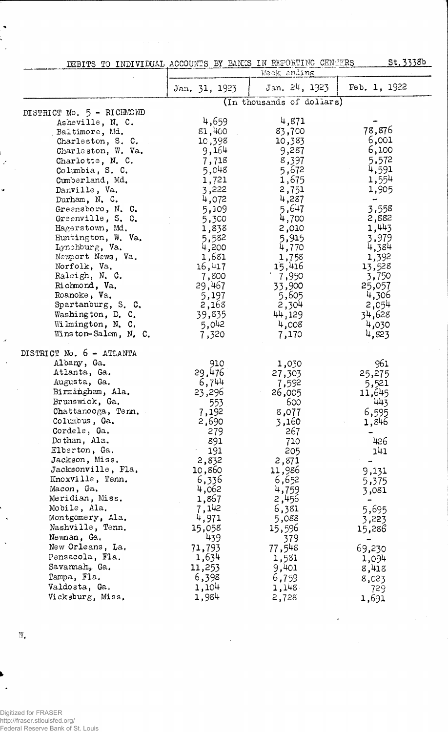| DEBITS TO INDIVIDUAL ACCOUNTS BY BANKS IN REPORTING CENTERS |  |             | St. 3338b |
|-------------------------------------------------------------|--|-------------|-----------|
|                                                             |  | Week ending |           |

|                           | Jan. 31, 1923 | Jan. 24, 1923             | Feb. 1, 1922             |
|---------------------------|---------------|---------------------------|--------------------------|
|                           |               | (In thousands of dollars) |                          |
| DISTRICT No. 5 - RICHMOND |               |                           |                          |
| Asheville, N. C.          | 4,659         | 4,871                     |                          |
| Baltimore, Md.            | 81,400        | 83,700                    | 78,876                   |
| Charleston, S. C.         | 10,398        | 10,383                    | 6,001                    |
| Charleston, W. Va.        | 9,164         | 9,287                     | 6,100                    |
| Charlotte, N. C.          | 7,718         | 8,397                     | 5,572                    |
| Columbia, S. C.           | 5,048         | 5,672                     | 4,591                    |
| Cumberland, Md.           | 1,721         | 1,675                     | 1,554                    |
| Danville, Va.             | 3,222         | 2,751                     | 1,905                    |
| Durham, N. C.             | 4,072         | 4,287                     | $\overline{\phantom{a}}$ |
| Greensboro, N. C.         | 5,109         | 5,647                     | 3,558                    |
| Greenville, S. C.         | 5,300         | 4,700                     | 2,882                    |
| Hagerstown, Md.           | 1,838         | 2,010                     | 1,443                    |
| Huntington, W. Va.        | 5,582         | 5,915                     | 3,979                    |
| Lynchburg, Va.            | 4,200         | 4,770                     | 4,384                    |
| Newport News, Va.         | 1,681         | 1,758                     | 1,392                    |
| Norfolk, Va.              | 16,417        | 15,416                    | 13,528                   |
| Raleigh, N. C.            | 7,800         | 7,950                     | 3,750                    |
| Richmond, Va.             | 29,467        | 33,900                    | 25,057                   |
| Roanoke, Va.              | 5,197         | 5,605                     | 4,306                    |
| Spartanburg, S. C.        | 2,168         | 2,304                     | 2,054                    |
| Washington, D. C.         | 39,835        | 44,129                    | 34,628                   |
| Wilmington, N. C.         | 5,042         | 4,008                     | 4,030                    |
| Winston-Salem, N. $C$ .   | 7,320         | 7,170                     | 4,823                    |
| DISTRICT No. 6 - ATLANTA  |               |                           |                          |
| Albany, Ga.               | 910           | 1,030                     | 961                      |
| Atlanta, Ga.              | 29,476        |                           | 25,275                   |
| Augusta, Ga.              | 6,744         | 27,303<br>7,592           |                          |
| Birmingham, Ala.          | 23,296        | 26,005                    | 5,521<br>11,645          |
| Brunswick, Ga.            | 553           | 600                       | 443                      |
| Chattanooga, Tenn.        | 7,192         | 8,077                     | 6,595                    |
| Columbus, Ga.             | 2,690         | 3,160                     | 1,846                    |
| Cordele, Ga.              | 279           | 267                       |                          |
| Dothan, Ala.              | 891           | 710                       | 426                      |
| Elberton, Ga.             | 191           | 205                       | 141                      |
| Jackson, Miss.            | 2,832         | 2,871                     |                          |
| Jacksonville, Fla.        | 10,860        | 11,986                    | 9,131                    |
| Knoxville, Tenn.          | 6,336         | 6,652                     |                          |
| Macon, Ga.                | 4,062         | 4,759                     | 5,375                    |
| Meridian, Miss.           | 1,867         | 2,456                     | 3,081                    |
| Mobile, Ala.              | 7,142         | 6,381                     | 5,695                    |
| Montgomery, Ala.          | 4,971         | 5,088                     | 3,223                    |
| Nashville, Tenn.          | 15,058        | 15,596                    | 15,286                   |
| Newnan, Ga.               | 439           | 379                       |                          |
| New Orleans, La.          | 71,793        | 77,548                    | 69,230                   |
| Pensacola, Fla.           | 1,634         | 1,581                     |                          |
| Savannah, Ga.             | 11,253        | 9,401                     | 1,094                    |
| Tampa, Fla.               | 6,398         |                           | 8,418                    |
| Valdosta, Ga.             | 1,104         | 6,759                     | 8,023                    |
| Vicksburg, Miss.          |               | 1,148                     | 729                      |
|                           | 1,984         | 2,728                     | 1,691                    |

 $\ddot{\phantom{0}}$ 

 $\ell$ 

w.

 $\ddot{\phantom{1}}$ 

 $\ddot{\phantom{1}}$  $\ddot{\cdot}$  $\mathbb{R}^2$ 

÷,

 $\frac{1}{\epsilon}$ 

Ť

 $\overline{\mathcal{L}}$ 

 $\overline{\phantom{a}}$ 

 $\ddot{\phantom{a}}$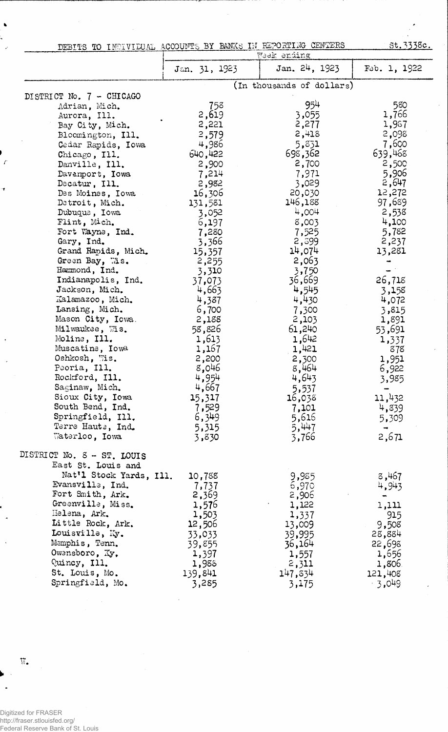| DEBITS TO INDIVIDUAL ACCOUNTS BY BANKS IN REPORTING CENTERS |               |                           | <u>st.3338c.</u> |
|-------------------------------------------------------------|---------------|---------------------------|------------------|
|                                                             |               | Week ending               |                  |
|                                                             | Jan. 31, 1923 | Jan. 24, 1923             | Fab. 1, 1922     |
|                                                             |               | (In thousands of dollars) |                  |
| DISTRICT No. 7 - CHICAGO                                    |               | 954                       |                  |
| Adrian, Mich.                                               | 758           |                           | 580<br>1,766     |
| Aurora, Ill.                                                | 2,619         | 3,055                     |                  |
| Bay City, Mich.                                             | 2,221         | 2,277                     | 1,987            |
| Bloomington, Ill.                                           | 2,579         | 2,418                     | 2,098            |
| Cedar Rapids, Iowa                                          | 4,986         | 5,831                     | 7,600            |
| Chicago, Ill.                                               | 640,422       | 698,362                   | 639,468          |
| Danville, Ill.                                              | 2,900         | 2,700                     | 2,500            |
| Davamport, Iowa                                             | 7,214         | 7,971                     | 5,906            |
| Decatur, Ill.                                               | 2,982         | 3,029                     | 2,647            |
| Des Moines, Iowa                                            | 16,306        | 20,030                    | 12,272           |
| Detroit, Mich.                                              | 131,581       | 146,188                   | 97,689           |
| Dubuque, Iowa                                               | 3,052         | 4,004                     | 2,538            |
| Flint, Mich.                                                | 6,197         | 8,003                     | 4,100            |
| Fort Wayne, Ind.                                            | 7,280         | 7,525                     | 5,782            |
| Gary, Ind.                                                  | 3,366         | 2,599                     | 2,237            |
| Grand Rapids, Mich.                                         | 15,357        | 14,074                    | 13,281           |
| Green Bay, Mis.                                             | 2,255         | 2,063                     |                  |
| Hammond, Ind.                                               | 3,310         | 3,750                     |                  |
| Indianapolis, Ind.                                          | 37,073        | 36,669                    | 26,718           |
| Jackson, Mich.                                              | 4,663         | 4,545                     | 3,158            |
| Kalamazoo, Mich.                                            | 4,387         | 4,430                     | 4,072            |
| Lansing, Mich.                                              | 6,700         | 7,300                     | 3,815            |
| Mason City, Iowa.                                           | 2,188         | 2,103                     | 1,891            |
| Milwaukee, Wis.                                             | 58,826        | 61,240                    | 53,691           |
| Moline, Ill.                                                | 1,613         | 1,642                     | 1,337            |
| Muscatine, Iowa                                             | 1,167         | 1,421                     | 878              |
| Oshkosh, Wis.                                               | 2,200         | 2,300                     | 1,951            |
| Peoria, Ill.                                                | 8,046         | 8,464                     | 6,922            |
| Rockford, I11.                                              | 4,954         | 4,643                     | 3,985            |
| Saginaw, Mich.                                              | 4,667         | 5,537                     |                  |
| Sioux City, Iowa                                            | 15,317        | 16,038                    | 11,432           |
| South Bend, Ind.                                            | 7,529         | 7,101                     | 4,839            |
| Springfield, Ill.                                           | 6,349         | 5,616                     | 5,309            |
| Terre Haute, Ind.                                           | 5,315         | 5,447                     |                  |
| Waterloo, Iowa                                              | 3,830         | 3,766                     | 2,671            |
| MISTRICT No. 8 - ST. LOUIS                                  |               |                           |                  |
| East St. Louis and                                          |               |                           |                  |
| Nat'l Stock Yards, Ill.                                     | 10,758        | 9,985                     | 8,467            |
| Evansville, Ind.                                            | 7,737         | 6,970                     | 4,943            |
| Fort Smith, Ark.                                            | 2,369         | 2,906                     |                  |
| Greenville, Miss.                                           | 1,576         | 1,122                     | 1,111            |
| Helena, Ark.                                                | 1,503         | 1,337                     | 915              |
| Little Rock, Ark.                                           | 12,506        | 13,009                    | 9,508            |
| Louisville, Ky.                                             | 33,033        | 39,995                    | 28,884           |
| Memphis, Tenn.                                              | 39,855        | 36,164                    | 22,698           |
| Owensboro, Ky.                                              | 1,397         | 1,557                     | 1,656            |
| Quincy, Ill.                                                | 1,988         | 2,311                     | 1,806            |
| St. Louis, Mo.                                              | 139,841       | 147,334                   | 121,408          |
| Springfield, Mo.                                            | 3,285         | 3,175                     | $-3,049$         |

77

Digitized for FRASER http://fraser.stlouisfed.org/ Federal Reserve Bank of St. Louis

 $\mathbf{W}_\bullet$ 

 $\bullet$ 

J.

 $\epsilon$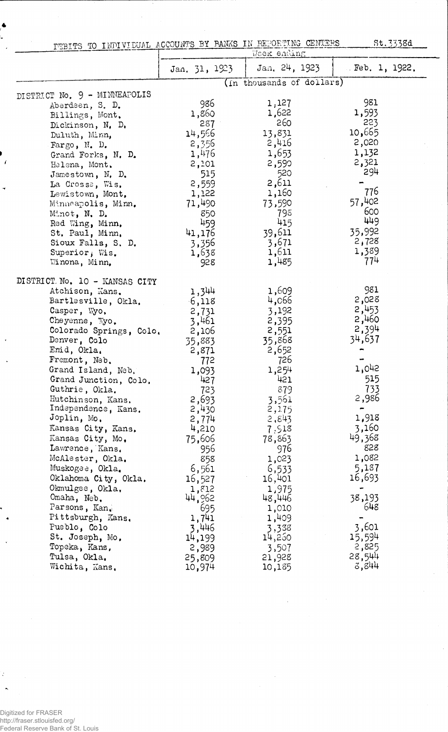| PEBITS TO INDIVIDUAL ACCOUNTS BY PANKS IN REPORTING CENTERS |  |  |             |  |
|-------------------------------------------------------------|--|--|-------------|--|
|                                                             |  |  | Week ending |  |

St. 3338d

|                               |               | パイベンセアー ヘアエイ・サーママ         |                   |
|-------------------------------|---------------|---------------------------|-------------------|
|                               | Jan. 31, 1923 | Jan. 24, 1923             | $E$ Feb. 1, 1922. |
|                               |               | (In thousands of dollars) |                   |
| DISTRICT No. 9 - MINNEAPOLIS  |               |                           |                   |
| Aberdeen, S. D.               | 986           | 1,127                     | 981               |
| Billings, Mont.               | 1,860         | 1,622                     | 1,593             |
| Dickinson, N. D.              | 287           | 260                       | 223               |
| Duluth, Minn,                 | 14,566        | 13,831                    | 10,665            |
| Fargo, $N$ . D.               | 2,356         | 2,416                     | 2,020             |
| Grand Forks, N. D.            | 1,476         | 1,653                     | 1,132             |
| Helena, Mont.                 | 2,101         | 2,590                     | 2,321             |
| Jamestown, $N_t$ , $D_t$      | 515           | 520                       | 294               |
| La Crosse, Wis.               | 2,559         | 2,611                     |                   |
| Lewistown, Mont,              | 1,122         | 1,160                     | 776               |
| Minneapolis, Minn.            | 71,490        | 73,590                    | 57,402            |
| Minot, N. D.                  | 850           | 798                       | 600               |
| Red Wing, Minn.               | 459           | 415                       | 449               |
| St. Paul, Minn.               | 41,176        | 39,611                    | 35,992            |
| Sioux Falls, S. D.            | 3,356         | 3,671                     | 2,728             |
| Superior, Wis.                | 1,638         | 1,611                     | 1,389             |
| Winona, Minn,                 | 928           | 1,485                     | 774               |
| DISTRICT No. 10 - KANSAS CITY |               |                           |                   |
| Atchison, Kans.               | 1,344         | 1,609                     | 981               |
| Bartlesville, Okla,           | 6,118         | 4,066                     | 2,028             |
| Casper, Wyo.                  | 2,731         | 3,192                     | 2,453             |
| Cheyenne, Wyo.                | 3,461         | 2,395                     | 2,460             |
| Colorado Springs, Colo.       | 2,106         | 2,551                     | 2,394             |
| Denver, Colo                  | 35,883        | 35,868                    | 34,637            |
| Emid, Okla.                   | 2,871         | 2,652                     |                   |
| Fremont, Neb.                 | 772           | 726                       |                   |
| Grand Island, Neb.            | 1,093         | 1,254                     | 1,042             |
| Grand Junction, Colo.         | 427           | 421                       | 515               |
| Guthrie, Okla.                | 723           | 879                       | 733               |
| Hutchinson, Kans.             | 2,693         | 3,561                     | 2,986             |
| Independence, Kans.           | 2,430         | 2,175                     |                   |
| Joplin, Mo.                   | 2,774         | 2,843                     | 1,918             |
| Kansas City, Kans.            | 4,210         | 7.518                     | 3,160             |
| Kansas City, Mo.              | 75,606        | 78,863                    | 49,368            |
| Lawrence, Kans.               | 956           | 976                       | 828               |
| McAlester, Okla.              | 858           | 1,023                     | 1,082             |
| Muskogee, Okla.               | 6,561         | 6,533                     | 5,187             |
| Oklahoma City, Okla.          | 16,527        | 16,401                    | 16,693            |
| Okmulgee, Okla.               | 1,812         | 1,975                     |                   |
| Omaha, Neb.                   | 44,962        | 48,446                    | 38,193            |
| Parsons, Kan.                 | 695           | 1,010                     | 648               |
| Pittsburgh, Kans.             | 1,741         | 1,409                     |                   |
| Pueblo, Colo                  | 3,446         | 3,338                     | 3,601             |
| St. Joseph, Mo.               | 14,199        | 14,250                    | 15,594            |
| Topeka, Kans,                 | 2,989         | 3,507                     | 2,825             |
| Tulsa, Okla.                  | 25,809        | 21,928                    | 28,544            |
| Wichita, Kans.                | 10,974        | 10,185                    | 3,844             |
|                               |               |                           |                   |

 $\bar{\gamma}$ 

Digitized for FRASER http://fraser.stlouisfed.org/ Federal Reserve Bank of St. Louis

 $\frac{1}{2}$ 

 $\ddot{\phantom{1}}$ 

 $\blacktriangle$ 

 $\overline{f}$